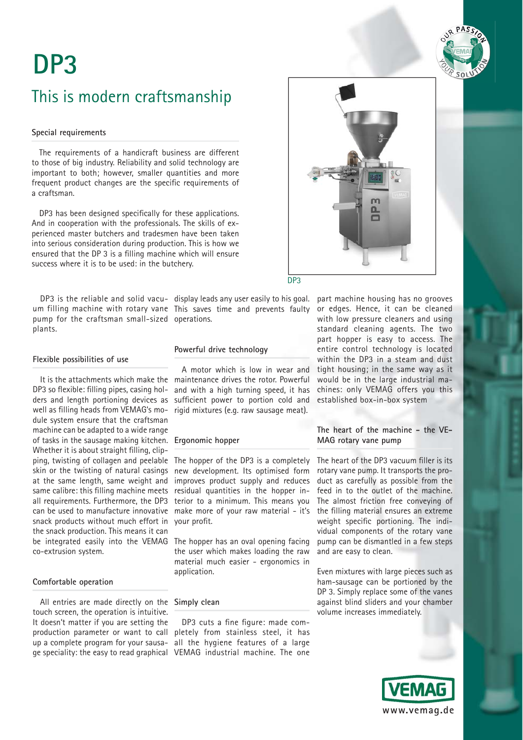# This is modern craftsmanship

### **Special requirements**

The requirements of a handicraft business are different to those of big industry. Reliability and solid technology are important to both; however, smaller quantities and more frequent product changes are the specific requirements of a craftsman.

DP3 has been designed specifically for these applications. And in cooperation with the professionals. The skills of experienced master butchers and tradesmen have been taken into serious consideration during production. This is how we ensured that the DP 3 is a filling machine which will ensure success where it is to be used: in the butchery.

um filling machine with rotary vane This saves time and prevents faulty pump for the craftsman small-sized operations. plants.

DP3 is the reliable and solid vacu- display leads any user easily to his goal. part machine housing has no grooves

### **Flexible possibilities of use**

It is the attachments which make the DP3 so flexible: filling pipes, casing holders and length portioning devices as well as filling heads from VEMAG's module system ensure that the craftsman machine can be adapted to a wide range of tasks in the sausage making kitchen. **Ergonomic hopper** Whether it is about straight filling, clipping, twisting of collagen and peelable skin or the twisting of natural casings at the same length, same weight and same calibre: this filling machine meets all requirements. Furthermore, the DP3 can be used to manufacture innovative snack products without much effort in the snack production. This means it can be integrated easily into the VEMAG co-extrusion system.

### **Comfortable operation**

All entries are made directly on the **Simply clean** touch screen, the operation is intuitive. It doesn't matter if you are setting the

## **Powerful drive technology**

A motor which is low in wear and maintenance drives the rotor. Powerful and with a high turning speed, it has sufficient power to portion cold and rigid mixtures (e.g. raw sausage meat).

The hopper of the DP3 is a completely new development. Its optimised form improves product supply and reduces residual quantities in the hopper interior to a minimum. This means you make more of your raw material - it's vour profit.

The hopper has an oval opening facing the user which makes loading the raw material much easier - ergonomics in application.

production parameter or want to call pletely from stainless steel, it has up a complete program for your sausa-all the hygiene features of a large ge speciality: the easy to read graphical VEMAG industrial machine. The one DP3 cuts a fine figure: made com-



### DP3

or edges. Hence, it can be cleaned with low pressure cleaners and using standard cleaning agents. The two part hopper is easy to access. The entire control technology is located within the DP3 in a steam and dust tight housing; in the same way as it would be in the large industrial machines: only VEMAG offers you this established box-in-box system

## **The heart of the machine - the VE-MAG rotary vane pump**

The heart of the DP3 vacuum filler is its rotary vane pump. It transports the product as carefully as possible from the feed in to the outlet of the machine. The almost friction free conveying of the filling material ensures an extreme weight specific portioning. The individual components of the rotary vane pump can be dismantled in a few steps and are easy to clean.

Even mixtures with large pieces such as ham-sausage can be portioned by the DP 3. Simply replace some of the vanes against blind sliders and your chamber volume increases immediately.